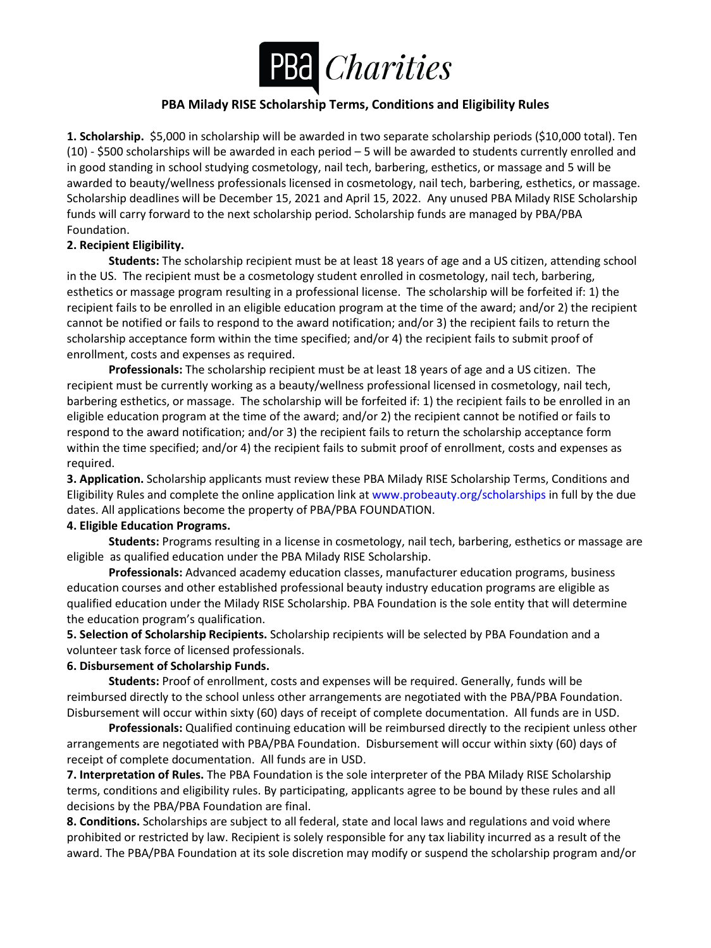

## **PBA Milady RISE Scholarship Terms, Conditions and Eligibility Rules**

**1. Scholarship.** \$5,000 in scholarship will be awarded in two separate scholarship periods (\$10,000 total). Ten (10) - \$500 scholarships will be awarded in each period – 5 will be awarded to students currently enrolled and in good standing in school studying cosmetology, nail tech, barbering, esthetics, or massage and 5 will be awarded to beauty/wellness professionals licensed in cosmetology, nail tech, barbering, esthetics, or massage. Scholarship deadlines will be December 15, 2021 and April 15, 2022. Any unused PBA Milady RISE Scholarship funds will carry forward to the next scholarship period. Scholarship funds are managed by PBA/PBA Foundation.

## **2. Recipient Eligibility.**

**Students:** The scholarship recipient must be at least 18 years of age and a US citizen, attending school in the US. The recipient must be a cosmetology student enrolled in cosmetology, nail tech, barbering, esthetics or massage program resulting in a professional license. The scholarship will be forfeited if: 1) the recipient fails to be enrolled in an eligible education program at the time of the award; and/or 2) the recipient cannot be notified or fails to respond to the award notification; and/or 3) the recipient fails to return the scholarship acceptance form within the time specified; and/or 4) the recipient fails to submit proof of enrollment, costs and expenses as required.

**Professionals:** The scholarship recipient must be at least 18 years of age and a US citizen. The recipient must be currently working as a beauty/wellness professional licensed in cosmetology, nail tech, barbering esthetics, or massage. The scholarship will be forfeited if: 1) the recipient fails to be enrolled in an eligible education program at the time of the award; and/or 2) the recipient cannot be notified or fails to respond to the award notification; and/or 3) the recipient fails to return the scholarship acceptance form within the time specified; and/or 4) the recipient fails to submit proof of enrollment, costs and expenses as required.

**3. Application.** Scholarship applicants must review these PBA Milady RISE Scholarship Terms, Conditions and Eligibility Rules and complete the online application link at www.probeauty.org/scholarships in full by the due dates. All applications become the property of PBA/PBA FOUNDATION.

## **4. Eligible Education Programs.**

**Students:** Programs resulting in a license in cosmetology, nail tech, barbering, esthetics or massage are eligible as qualified education under the PBA Milady RISE Scholarship.

**Professionals:** Advanced academy education classes, manufacturer education programs, business education courses and other established professional beauty industry education programs are eligible as qualified education under the Milady RISE Scholarship. PBA Foundation is the sole entity that will determine the education program's qualification.

**5. Selection of Scholarship Recipients.** Scholarship recipients will be selected by PBA Foundation and a volunteer task force of licensed professionals.

## **6. Disbursement of Scholarship Funds.**

**Students:** Proof of enrollment, costs and expenses will be required. Generally, funds will be reimbursed directly to the school unless other arrangements are negotiated with the PBA/PBA Foundation. Disbursement will occur within sixty (60) days of receipt of complete documentation. All funds are in USD.

**Professionals:** Qualified continuing education will be reimbursed directly to the recipient unless other arrangements are negotiated with PBA/PBA Foundation. Disbursement will occur within sixty (60) days of receipt of complete documentation. All funds are in USD.

**7. Interpretation of Rules.** The PBA Foundation is the sole interpreter of the PBA Milady RISE Scholarship terms, conditions and eligibility rules. By participating, applicants agree to be bound by these rules and all decisions by the PBA/PBA Foundation are final.

**8. Conditions.** Scholarships are subject to all federal, state and local laws and regulations and void where prohibited or restricted by law. Recipient is solely responsible for any tax liability incurred as a result of the award. The PBA/PBA Foundation at its sole discretion may modify or suspend the scholarship program and/or